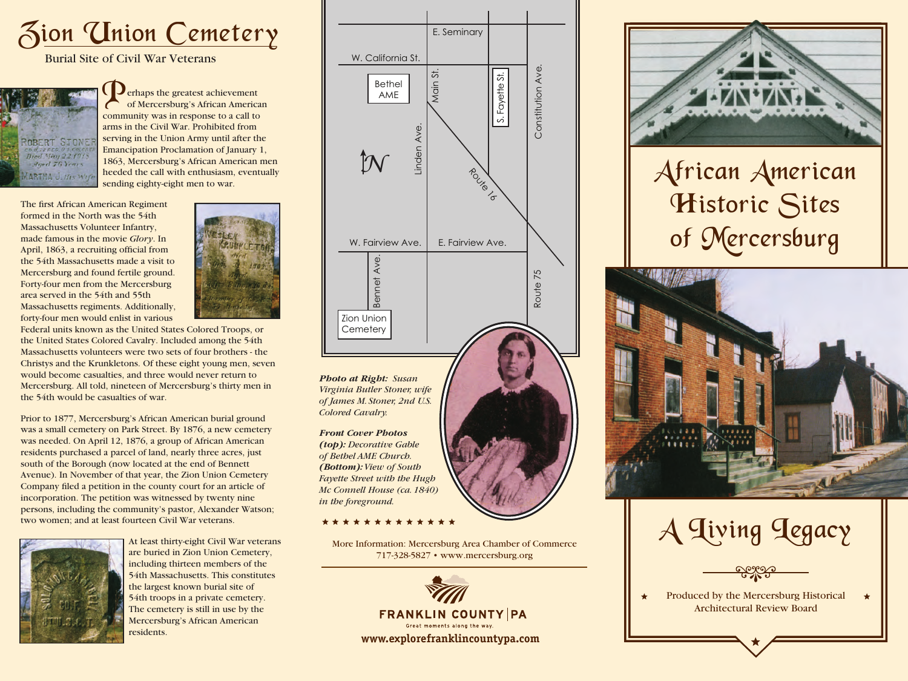

Burial Site of Civil War Veterans



**Perhaps the greatest achievement** of Mercersburg's African American community was in response to a call to arms in the Civil War. Prohibited from serving in the Union Army until after the Emancipation Proclamation of January 1, 1863, Mercersburg's African American men heeded the call with enthusiasm, eventually sending eighty-eight men to war.

The first African American Regiment formed in the North was the 54th Massachusetts Volunteer Infantry, made famous in the movie *Glory*. In April, 1863, a recruiting official from the 54th Massachusetts made a visit to Mercersburg and found fertile ground. Forty-four men from the Mercersburg area served in the 54th and 55th Massachusetts regiments. Additionally, forty-four men would enlist in various



Federal units known as the United States Colored Troops, or the United States Colored Cavalry. Included among the 54th Massachusetts volunteers were two sets of four brothers - the Christys and the Krunkletons. Of these eight young men, seven would become casualties, and three would never return to Mercersburg. All told, nineteen of Mercersburg's thirty men in the 54th would be casualties of war.

Prior to 1877, Mercersburg's African American burial ground was a small cemetery on Park Street. By 1876, a new cemetery was needed. On April 12, 1876, a group of African American residents purchased a parcel of land, nearly three acres, just south of the Borough (now located at the end of Bennett Avenue). In November of that year, the Zion Union Cemetery Company filed a petition in the county court for an article of incorporation. The petition was witnessed by twenty nine persons, including the community's pastor, Alexander Watson; two women; and at least fourteen Civil War veterans.



At least thirty-eight Civil War veterans are buried in Zion Union Cemetery, including thirteen members of the 54th Massachusetts. This constitutes the largest known burial site of 54th troops in a private cemetery. The cemetery is still in use by the Mercersburg's African American residents.



*Virginia Butler Stoner, wife of James M. Stoner, 2nd U.S. Colored Cavalry.*

*Front Cover Photos (top): Decorative Gable of Bethel AME Church. (Bottom): View of South Fayette Street with the Hugh Mc Connell House (ca. 1840) in the foreground.*

\*\*\*\*\*\*\*\*\*\*\*\*\*

More Information: Mercersburg Area Chamber of Commerce 717-328-5827 • www.mercersburg.org





## African American Historic Sites of Mercersburg



A Living Legacy

Produced by the Mercersburg Historical Architectural Review Board